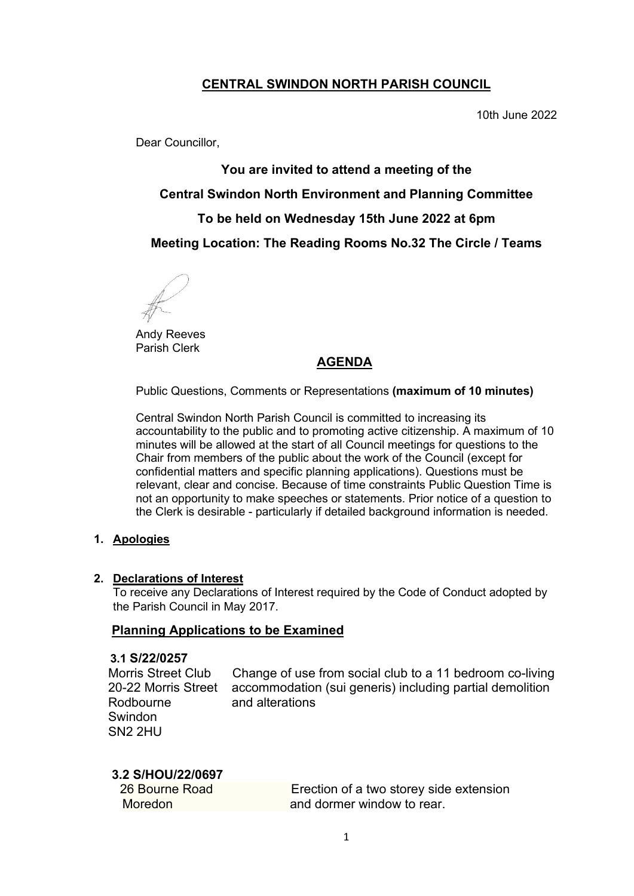# **CENTRAL SWINDON NORTH PARISH COUNCIL**

10th June 2022

Dear Councillor,

**You are invited to attend a meeting of the Central Swindon North Environment and Planning Committee To be held on Wednesday 15th June 2022 at 6pm Meeting Location: The Reading Rooms No.32 The Circle / Teams**

Andy Reeves Parish Clerk

## **AGENDA**

Public Questions, Comments or Representations **(maximum of 10 minutes)**

Central Swindon North Parish Council is committed to increasing its accountability to the public and to promoting active citizenship. A maximum of 10 minutes will be allowed at the start of all Council meetings for questions to the Chair from members of the public about the work of the Council (except for confidential matters and specific planning applications). Questions must be relevant, clear and concise. Because of time constraints Public Question Time is not an opportunity to make speeches or statements. Prior notice of a question to the Clerk is desirable - particularly if detailed background information is needed.

#### **1. Apologies**

#### **2. Declarations of Interest**

To receive any Declarations of Interest required by the Code of Conduct adopted by the Parish Council in May 2017.

#### **Planning Applications to be Examined**

#### **3.1 S/22/0257**

 Rodbourne and alterations Swindon SN2 2HU

 Morris Street Club Change of use from social club to a 11 bedroom co-living 20-22 Morris Street accommodation (sui generis) including partial demolition

## **3.2 S/HOU/22/0697**

26 Bourne Road Erection of a two storey side extension Moredon **and dormer window to rear.**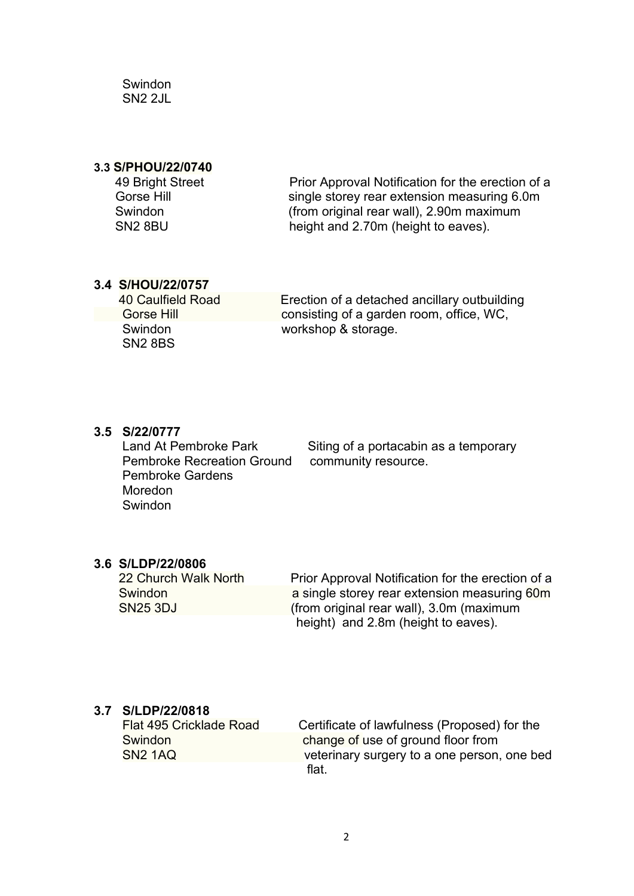**Swindon** SN2 2JL

#### **3.3 S/PHOU/22/0740**

| 49 Bright Street    |  |
|---------------------|--|
| Gorse Hill          |  |
| Swindon             |  |
| SN <sub>2</sub> 8RU |  |

Prior Approval Notification for the erection of a single storey rear extension measuring 6.0m (from original rear wall),  $2.90m$  maximum SN2 8BU height and 2.70m (height to eaves).

### **3.4 S/HOU/22/0757**

SN2 8BS

40 Caulfield Road Erection of a detached ancillary outbuilding Gorse Hill **Consisting of a garden room, office, WC, Swindon** *workshop & storage.* 

### **3.5 S/22/0777**

**Pembroke Recreation Ground** Pembroke Gardens Moredon Swindon

Land At Pembroke Park<br> **Pembroke Recreation Ground**community resource.

# **3.6 S/LDP/22/0806**

**Prior Approval Notification for the erection of a Swindon a** single storey rear extension measuring 60m SN25 3DJ (from original rear wall), 3.0m (maximum height)and 2.8m (height to eaves).

# **3.7 S/LDP/22/0818**

**Flat 495 Cricklade Road Certificate of lawfulness (Proposed) for the Swindon** Swindon change of use of ground floor from<br>SN2 1AQ change of use of ground floor from veterinary surgery to a one person, one bed flat.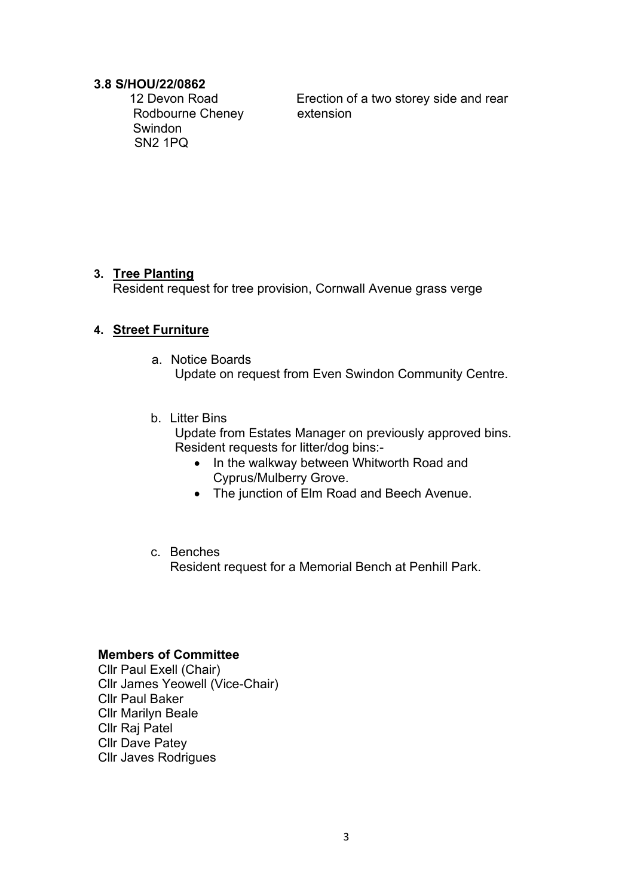# **3.8 S/HOU/22/0862**

Rodbourne CheneyextensionSwindon SN2 1PQ

Erection of a two storey side and rear

## **3. Tree Planting**

Resident request for tree provision, Cornwall Avenue grass verge

## **4. Street Furniture**

- a. Notice Boards Update on request from Even Swindon Community Centre.
- b. Litter Bins Update from Estates Manager on previously approved bins. Resident requests for litter/dog bins:-
	- In the walkway between Whitworth Road and Cyprus/Mulberry Grove.
	- The junction of Elm Road and Beech Avenue.

## c. Benches

Resident request for a Memorial Bench at Penhill Park.

#### **Members of Committee**

Cllr Paul Exell (Chair) Cllr James Yeowell (Vice-Chair) Cllr Paul Baker Cllr Marilyn Beale Cllr Raj Patel Cllr Dave Patey Cllr Javes Rodrigues